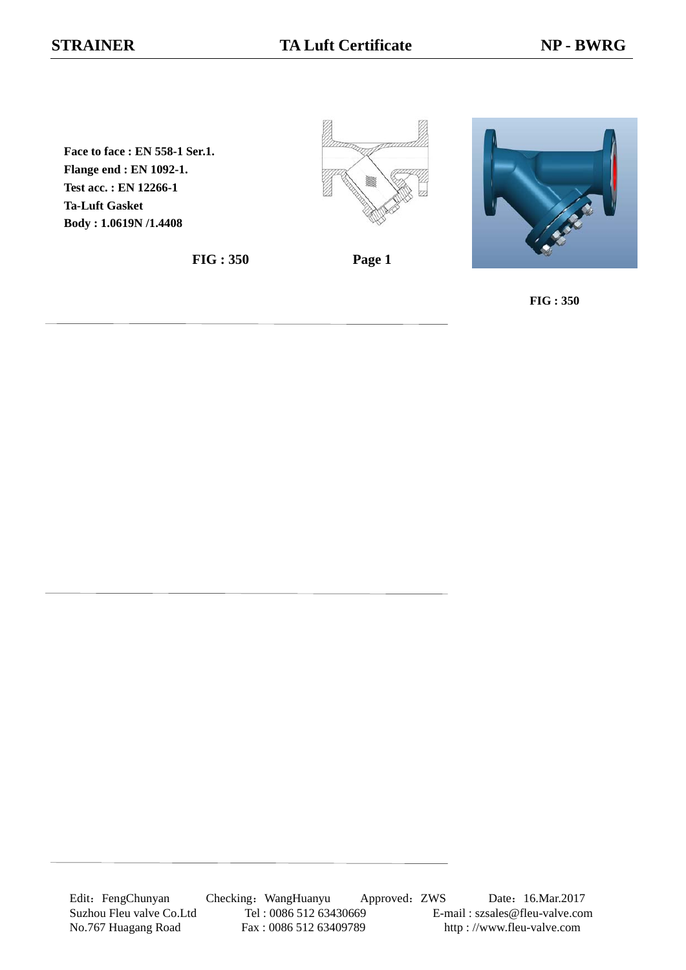**Face to face : EN 558-1 Ser.1. Flange end : EN 1092-1. Test acc. : EN 12266-1 Ta-Luft Gasket Body : 1.0619N /1.4408**

**FIG : 350 Page 1**





**FIG : 350**